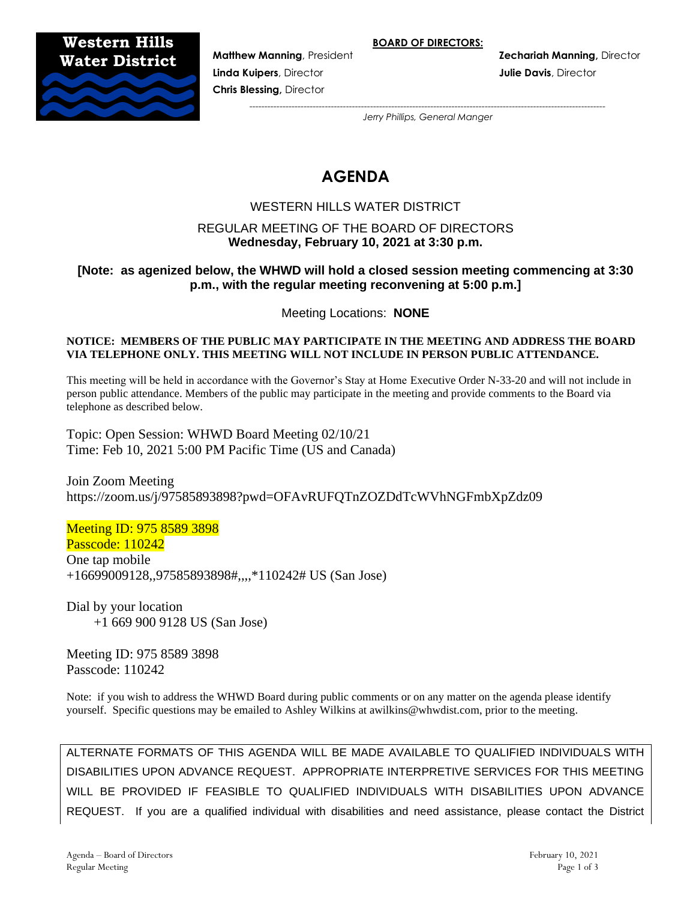**BOARD OF DIRECTORS:**

**Western Hills**



**Linda Kuipers**, Director **Julie Davis**, Director **Chris Blessing,** Director

**Matthew Manning**, President **Zechariah Manning,** Director

*---------------------------------------------------------------------------------------------------------------------- Jerry Phillips, General Manger*

# **AGENDA**

# WESTERN HILLS WATER DISTRICT

# REGULAR MEETING OF THE BOARD OF DIRECTORS **Wednesday, February 10, 2021 at 3:30 p.m.**

# **[Note: as agenized below, the WHWD will hold a closed session meeting commencing at 3:30 p.m., with the regular meeting reconvening at 5:00 p.m.]**

Meeting Locations: **NONE**

#### **NOTICE: MEMBERS OF THE PUBLIC MAY PARTICIPATE IN THE MEETING AND ADDRESS THE BOARD VIA TELEPHONE ONLY. THIS MEETING WILL NOT INCLUDE IN PERSON PUBLIC ATTENDANCE.**

This meeting will be held in accordance with the Governor's Stay at Home Executive Order N-33-20 and will not include in person public attendance. Members of the public may participate in the meeting and provide comments to the Board via telephone as described below.

Topic: Open Session: WHWD Board Meeting 02/10/21 Time: Feb 10, 2021 5:00 PM Pacific Time (US and Canada)

Join Zoom Meeting https://zoom.us/j/97585893898?pwd=OFAvRUFQTnZOZDdTcWVhNGFmbXpZdz09

Meeting ID: 975 8589 3898 Passcode: 110242 One tap mobile +16699009128,,97585893898#,,,,\*110242# US (San Jose)

Dial by your location +1 669 900 9128 US (San Jose)

Meeting ID: 975 8589 3898 Passcode: 110242

Note: if you wish to address the WHWD Board during public comments or on any matter on the agenda please identify yourself. Specific questions may be emailed to Ashley Wilkins at awilkins@whwdist.com, prior to the meeting.

ALTERNATE FORMATS OF THIS AGENDA WILL BE MADE AVAILABLE TO QUALIFIED INDIVIDUALS WITH DISABILITIES UPON ADVANCE REQUEST. APPROPRIATE INTERPRETIVE SERVICES FOR THIS MEETING WILL BE PROVIDED IF FEASIBLE TO QUALIFIED INDIVIDUALS WITH DISABILITIES UPON ADVANCE REQUEST. If you are a qualified individual with disabilities and need assistance, please contact the District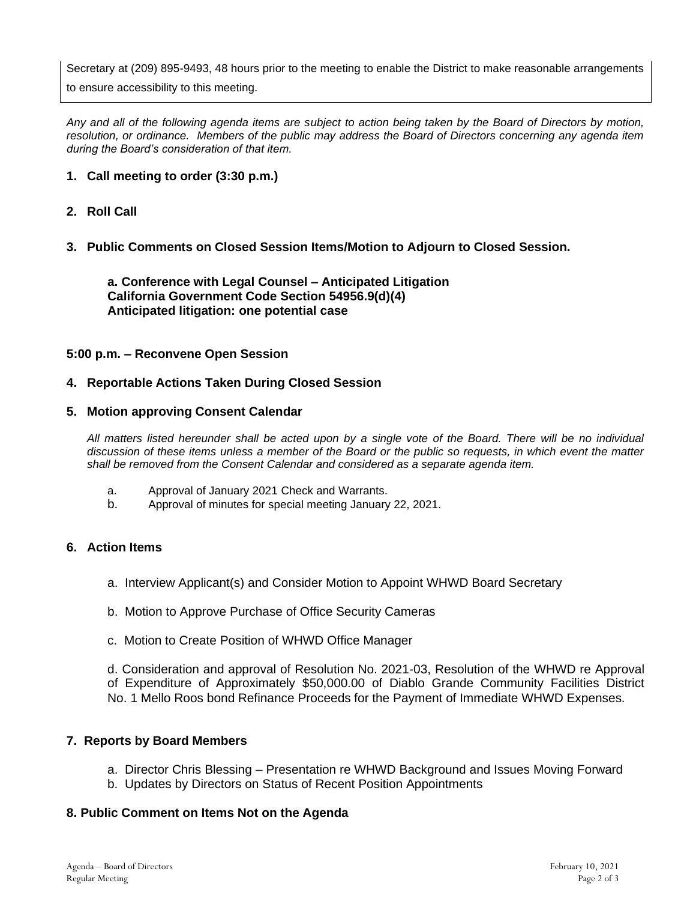Secretary at (209) 895-9493, 48 hours prior to the meeting to enable the District to make reasonable arrangements

to ensure accessibility to this meeting.

*Any and all of the following agenda items are subject to action being taken by the Board of Directors by motion, resolution, or ordinance. Members of the public may address the Board of Directors concerning any agenda item during the Board's consideration of that item.*

## **1. Call meeting to order (3:30 p.m.)**

## **2. Roll Call**

## **3. Public Comments on Closed Session Items/Motion to Adjourn to Closed Session.**

**a. Conference with Legal Counsel – Anticipated Litigation California Government Code Section 54956.9(d)(4) Anticipated litigation: one potential case**

#### **5:00 p.m. – Reconvene Open Session**

#### **4. Reportable Actions Taken During Closed Session**

#### **5. Motion approving Consent Calendar**

*All matters listed hereunder shall be acted upon by a single vote of the Board. There will be no individual discussion of these items unless a member of the Board or the public so requests, in which event the matter shall be removed from the Consent Calendar and considered as a separate agenda item.*

- a. Approval of January 2021 Check and Warrants.
- b. Approval of minutes for special meeting January 22, 2021.

#### **6. Action Items**

- a. Interview Applicant(s) and Consider Motion to Appoint WHWD Board Secretary
- b. Motion to Approve Purchase of Office Security Cameras
- c. Motion to Create Position of WHWD Office Manager

d. Consideration and approval of Resolution No. 2021-03, Resolution of the WHWD re Approval of Expenditure of Approximately \$50,000.00 of Diablo Grande Community Facilities District No. 1 Mello Roos bond Refinance Proceeds for the Payment of Immediate WHWD Expenses.

#### **7. Reports by Board Members**

- a. Director Chris Blessing Presentation re WHWD Background and Issues Moving Forward
- b. Updates by Directors on Status of Recent Position Appointments

#### **8. Public Comment on Items Not on the Agenda**